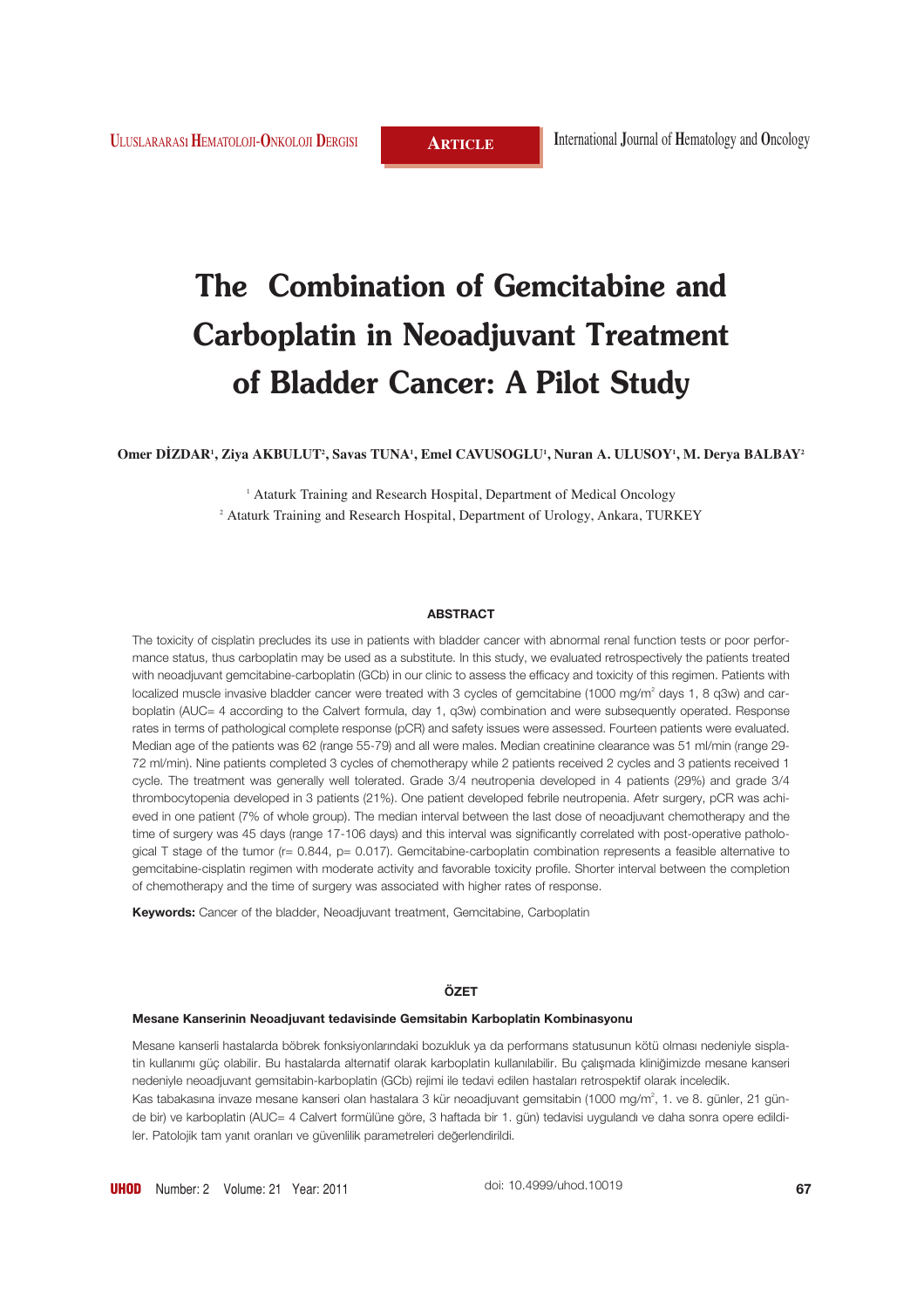# **The Combination of Gemcitabine and Carboplatin in Neoadjuvant Treatment of Bladder Cancer: A Pilot Study**

**Omer DİZDAR1 , Ziya AKBULUT2 , Savas TUNA1 , Emel CAVUSOGLU1 , Nuran A. ULUSOY1 , M. Derya BALBAY2**

<sup>1</sup> Ataturk Training and Research Hospital, Department of Medical Oncology <sup>2</sup> Ataturk Training and Research Hospital, Department of Urology, Ankara, TURKEY

#### **ABSTRACT**

The toxicity of cisplatin precludes its use in patients with bladder cancer with abnormal renal function tests or poor performance status, thus carboplatin may be used as a substitute. In this study, we evaluated retrospectively the patients treated with neoadjuvant gemcitabine-carboplatin (GCb) in our clinic to assess the efficacy and toxicity of this regimen. Patients with localized muscle invasive bladder cancer were treated with 3 cycles of gemcitabine (1000 mg/m<sup>2</sup> days 1, 8 g3w) and carboplatin (AUC= 4 according to the Calvert formula, day 1, q3w) combination and were subsequently operated. Response rates in terms of pathological complete response (pCR) and safety issues were assessed. Fourteen patients were evaluated. Median age of the patients was 62 (range 55-79) and all were males. Median creatinine clearance was 51 ml/min (range 29- 72 ml/min). Nine patients completed 3 cycles of chemotherapy while 2 patients received 2 cycles and 3 patients received 1 cycle. The treatment was generally well tolerated. Grade 3/4 neutropenia developed in 4 patients (29%) and grade 3/4 thrombocytopenia developed in 3 patients (21%). One patient developed febrile neutropenia. Afetr surgery, pCR was achieved in one patient (7% of whole group). The median interval between the last dose of neoadjuvant chemotherapy and the time of surgery was 45 days (range 17-106 days) and this interval was significantly correlated with post-operative pathological T stage of the tumor (r= 0.844, p= 0.017). Gemcitabine-carboplatin combination represents a feasible alternative to gemcitabine-cisplatin regimen with moderate activity and favorable toxicity profile. Shorter interval between the completion of chemotherapy and the time of surgery was associated with higher rates of response.

**Keywords:** Cancer of the bladder, Neoadjuvant treatment, Gemcitabine, Carboplatin

## **ÖZET**

#### **Mesane Kanserinin Neoadjuvant tedavisinde Gemsitabin Karboplatin Kombinasyonu**

Mesane kanserli hastalarda böbrek fonksiyonlarındaki bozukluk ya da performans statusunun kötü olması nedeniyle sisplatin kullanımı güç olabilir. Bu hastalarda alternatif olarak karboplatin kullanılabilir. Bu çalışmada kliniğimizde mesane kanseri nedeniyle neoadjuvant gemsitabin-karboplatin (GCb) rejimi ile tedavi edilen hastaları retrospektif olarak inceledik. Kas tabakasına invaze mesane kanseri olan hastalara 3 kür neoadjuvant gemsitabin (1000 mg/m<sup>2</sup>, 1. ve 8. günler, 21 günde bir) ve karboplatin (AUC= 4 Calvert formülüne göre, 3 haftada bir 1. gün) tedavisi uygulandı ve daha sonra opere edildiler. Patolojik tam yanıt oranları ve güvenlilik parametreleri değerlendirildi.

doi: 10.4999/uhod.10019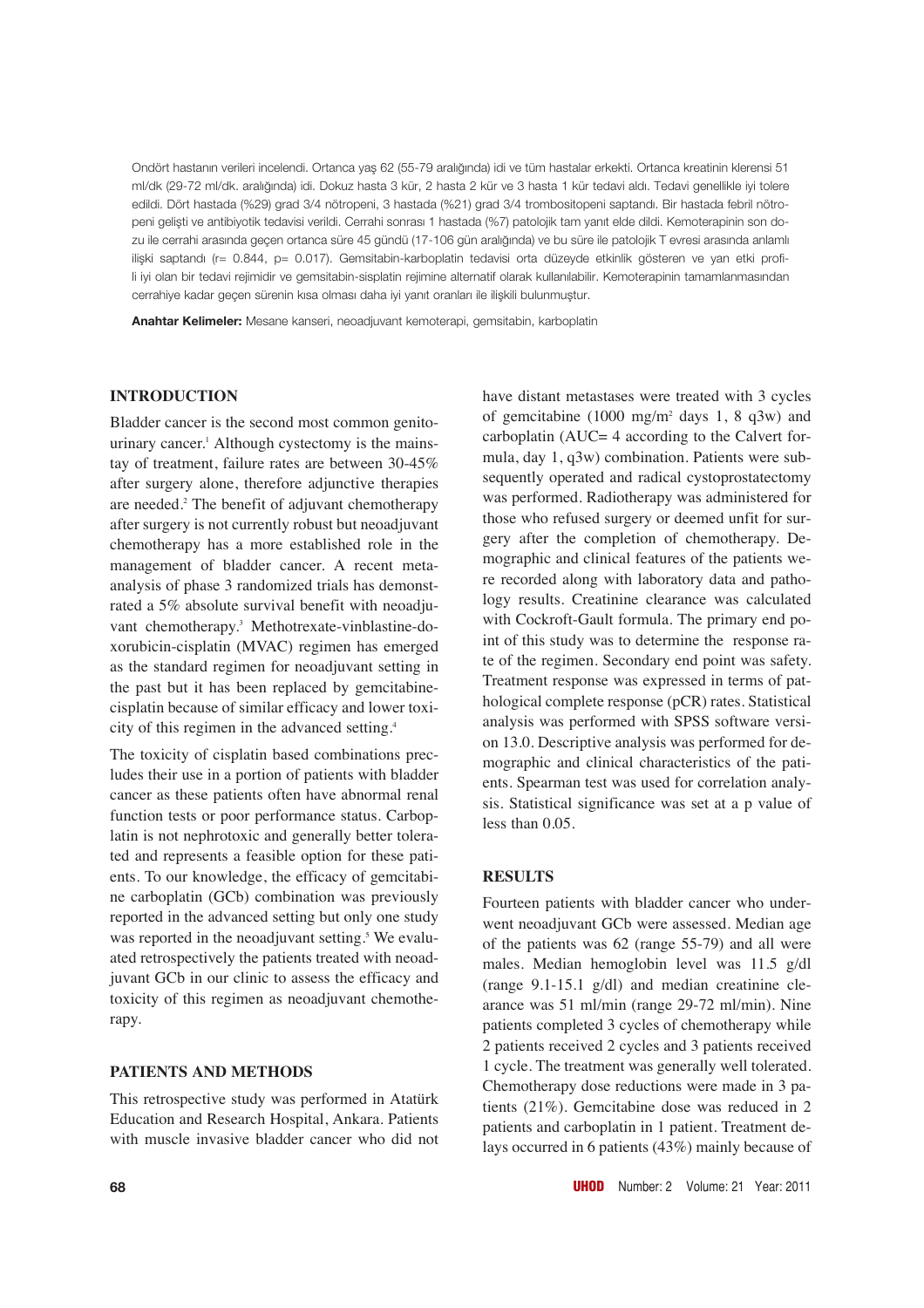Ondört hastanın verileri incelendi. Ortanca yaş 62 (55-79 aralığında) idi ve tüm hastalar erkekti. Ortanca kreatinin klerensi 51 ml/dk (29-72 ml/dk. aralığında) idi. Dokuz hasta 3 kür, 2 hasta 2 kür ve 3 hasta 1 kür tedavi aldı. Tedavi genellikle iyi tolere edildi. Dört hastada (%29) grad 3/4 nötropeni, 3 hastada (%21) grad 3/4 trombositopeni saptandı. Bir hastada febril nötropeni gelişti ve antibiyotik tedavisi verildi. Cerrahi sonrası 1 hastada (%7) patolojik tam yanıt elde dildi. Kemoterapinin son dozu ile cerrahi arasında geçen ortanca süre 45 gündü (17-106 gün aralığında) ve bu süre ile patolojik T evresi arasında anlamlı ilişki saptandı (r= 0.844, p= 0.017). Gemsitabin-karboplatin tedavisi orta düzeyde etkinlik gösteren ve yan etki profili iyi olan bir tedavi rejimidir ve gemsitabin-sisplatin rejimine alternatif olarak kullanılabilir. Kemoterapinin tamamlanmasından cerrahiye kadar geçen sürenin kısa olması daha iyi yanıt oranları ile ilişkili bulunmuştur.

**Anahtar Kelimeler:** Mesane kanseri, neoadjuvant kemoterapi, gemsitabin, karboplatin

### **INTRODUCTION**

Bladder cancer is the second most common genitourinary cancer.<sup>1</sup> Although cystectomy is the mainstay of treatment, failure rates are between 30-45% after surgery alone, therefore adjunctive therapies are needed.2 The benefit of adjuvant chemotherapy after surgery is not currently robust but neoadjuvant chemotherapy has a more established role in the management of bladder cancer. A recent metaanalysis of phase 3 randomized trials has demonstrated a 5% absolute survival benefit with neoadjuvant chemotherapy.3 Methotrexate-vinblastine-doxorubicin-cisplatin (MVAC) regimen has emerged as the standard regimen for neoadjuvant setting in the past but it has been replaced by gemcitabinecisplatin because of similar efficacy and lower toxicity of this regimen in the advanced setting.4

The toxicity of cisplatin based combinations precludes their use in a portion of patients with bladder cancer as these patients often have abnormal renal function tests or poor performance status. Carboplatin is not nephrotoxic and generally better tolerated and represents a feasible option for these patients. To our knowledge, the efficacy of gemcitabine carboplatin (GCb) combination was previously reported in the advanced setting but only one study was reported in the neoadjuvant setting.<sup>5</sup> We evaluated retrospectively the patients treated with neoadjuvant GCb in our clinic to assess the efficacy and toxicity of this regimen as neoadjuvant chemotherapy.

## **PATIENTS AND METHODS**

This retrospective study was performed in Atatürk Education and Research Hospital, Ankara. Patients with muscle invasive bladder cancer who did not

have distant metastases were treated with 3 cycles of gemcitabine (1000 mg/m<sup>2</sup> days 1, 8 q3w) and carboplatin (AUC= 4 according to the Calvert formula, day 1, q3w) combination. Patients were subsequently operated and radical cystoprostatectomy was performed. Radiotherapy was administered for those who refused surgery or deemed unfit for surgery after the completion of chemotherapy. Demographic and clinical features of the patients were recorded along with laboratory data and pathology results. Creatinine clearance was calculated with Cockroft-Gault formula. The primary end point of this study was to determine the response rate of the regimen. Secondary end point was safety. Treatment response was expressed in terms of pathological complete response (pCR) rates. Statistical analysis was performed with SPSS software version 13.0. Descriptive analysis was performed for demographic and clinical characteristics of the patients. Spearman test was used for correlation analysis. Statistical significance was set at a p value of less than 0.05.

# **RESULTS**

Fourteen patients with bladder cancer who underwent neoadjuvant GCb were assessed. Median age of the patients was 62 (range 55-79) and all were males. Median hemoglobin level was 11.5 g/dl (range 9.1-15.1 g/dl) and median creatinine clearance was 51 ml/min (range 29-72 ml/min). Nine patients completed 3 cycles of chemotherapy while 2 patients received 2 cycles and 3 patients received 1 cycle. The treatment was generally well tolerated. Chemotherapy dose reductions were made in 3 patients (21%). Gemcitabine dose was reduced in 2 patients and carboplatin in 1 patient. Treatment delays occurred in 6 patients (43%) mainly because of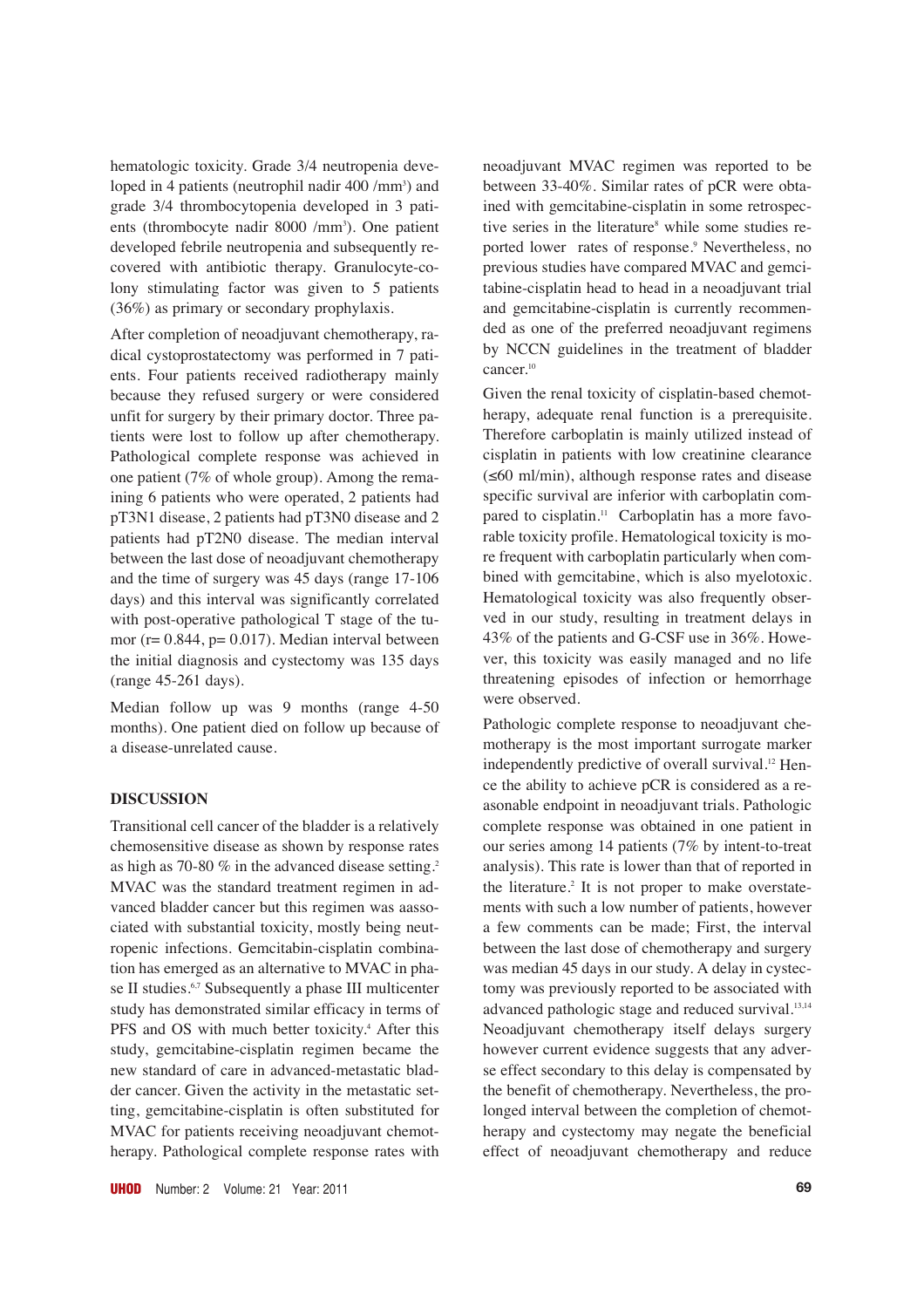hematologic toxicity. Grade 3/4 neutropenia developed in 4 patients (neutrophil nadir 400 /mm<sup>3</sup>) and grade 3/4 thrombocytopenia developed in 3 patients (thrombocyte nadir 8000 /mm<sup>3</sup>). One patient developed febrile neutropenia and subsequently recovered with antibiotic therapy. Granulocyte-colony stimulating factor was given to 5 patients (36%) as primary or secondary prophylaxis.

After completion of neoadjuvant chemotherapy, radical cystoprostatectomy was performed in 7 patients. Four patients received radiotherapy mainly because they refused surgery or were considered unfit for surgery by their primary doctor. Three patients were lost to follow up after chemotherapy. Pathological complete response was achieved in one patient (7% of whole group). Among the remaining 6 patients who were operated, 2 patients had pT3N1 disease, 2 patients had pT3N0 disease and 2 patients had pT2N0 disease. The median interval between the last dose of neoadjuvant chemotherapy and the time of surgery was 45 days (range 17-106 days) and this interval was significantly correlated with post-operative pathological T stage of the tumor ( $r = 0.844$ ,  $p = 0.017$ ). Median interval between the initial diagnosis and cystectomy was 135 days (range 45-261 days).

Median follow up was 9 months (range 4-50 months). One patient died on follow up because of a disease-unrelated cause.

# **DISCUSSION**

Transitional cell cancer of the bladder is a relatively chemosensitive disease as shown by response rates as high as 70-80 % in the advanced disease setting.2 MVAC was the standard treatment regimen in advanced bladder cancer but this regimen was aassociated with substantial toxicity, mostly being neutropenic infections. Gemcitabin-cisplatin combination has emerged as an alternative to MVAC in phase II studies.<sup>6,7</sup> Subsequently a phase III multicenter study has demonstrated similar efficacy in terms of PFS and OS with much better toxicity.<sup>4</sup> After this study, gemcitabine-cisplatin regimen became the new standard of care in advanced-metastatic bladder cancer. Given the activity in the metastatic setting, gemcitabine-cisplatin is often substituted for MVAC for patients receiving neoadjuvant chemotherapy. Pathological complete response rates with neoadjuvant MVAC regimen was reported to be between 33-40%. Similar rates of pCR were obtained with gemcitabine-cisplatin in some retrospective series in the literature<sup>8</sup> while some studies reported lower rates of response.<sup>9</sup> Nevertheless, no previous studies have compared MVAC and gemcitabine-cisplatin head to head in a neoadjuvant trial and gemcitabine-cisplatin is currently recommended as one of the preferred neoadjuvant regimens by NCCN guidelines in the treatment of bladder cancer.<sup>10</sup>

Given the renal toxicity of cisplatin-based chemotherapy, adequate renal function is a prerequisite. Therefore carboplatin is mainly utilized instead of cisplatin in patients with low creatinine clearance (≤60 ml/min), although response rates and disease specific survival are inferior with carboplatin compared to cisplatin.<sup>11</sup> Carboplatin has a more favorable toxicity profile. Hematological toxicity is more frequent with carboplatin particularly when combined with gemcitabine, which is also myelotoxic. Hematological toxicity was also frequently observed in our study, resulting in treatment delays in 43% of the patients and G-CSF use in 36%. However, this toxicity was easily managed and no life threatening episodes of infection or hemorrhage were observed.

Pathologic complete response to neoadjuvant chemotherapy is the most important surrogate marker independently predictive of overall survival.<sup>12</sup> Hence the ability to achieve pCR is considered as a reasonable endpoint in neoadjuvant trials. Pathologic complete response was obtained in one patient in our series among 14 patients (7% by intent-to-treat analysis). This rate is lower than that of reported in the literature.<sup>2</sup> It is not proper to make overstatements with such a low number of patients, however a few comments can be made; First, the interval between the last dose of chemotherapy and surgery was median 45 days in our study. A delay in cystectomy was previously reported to be associated with advanced pathologic stage and reduced survival.13,14 Neoadjuvant chemotherapy itself delays surgery however current evidence suggests that any adverse effect secondary to this delay is compensated by the benefit of chemotherapy. Nevertheless, the prolonged interval between the completion of chemotherapy and cystectomy may negate the beneficial effect of neoadjuvant chemotherapy and reduce